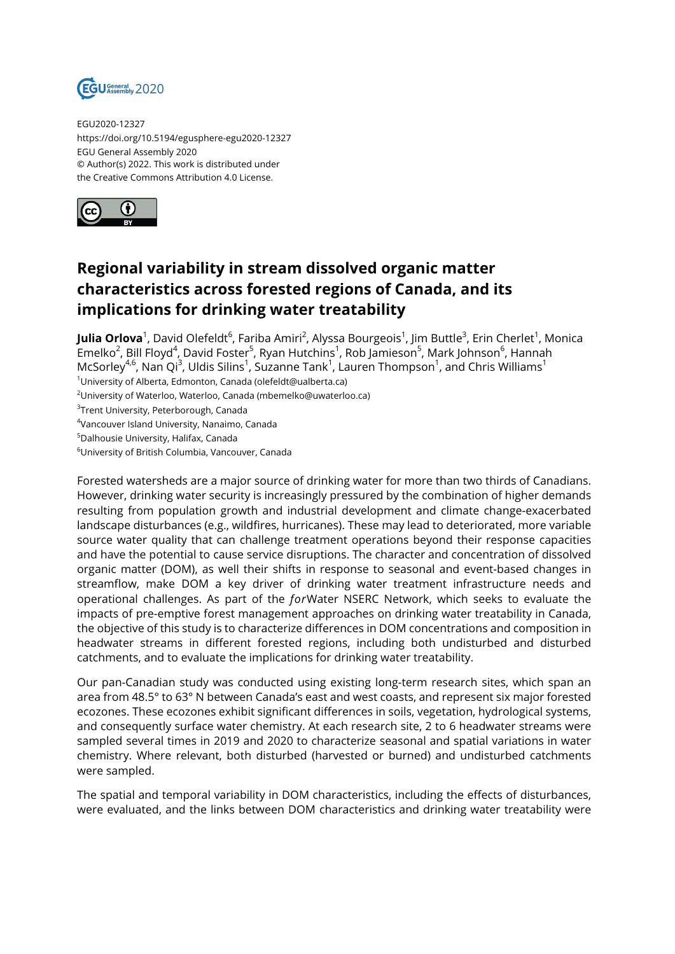

EGU2020-12327 https://doi.org/10.5194/egusphere-egu2020-12327 EGU General Assembly 2020 © Author(s) 2022. This work is distributed under the Creative Commons Attribution 4.0 License.



## **Regional variability in stream dissolved organic matter characteristics across forested regions of Canada, and its implications for drinking water treatability**

**Julia Orlova**<sup>1</sup>, David Olefeldt<sup>6</sup>, Fariba Amiri<sup>2</sup>, Alyssa Bourgeois<sup>1</sup>, Jim Buttle<sup>3</sup>, Erin Cherlet<sup>1</sup>, Monica Emelko<sup>2</sup>, Bill Floyd<sup>4</sup>, David Foster<sup>5</sup>, Ryan Hutchins<sup>1</sup>, Rob Jamieson<sup>5</sup>, Mark Johnson<sup>6</sup>, Hannah McSorley<sup>4,6</sup>, Nan Qi<sup>3</sup>, Uldis Silins<sup>1</sup>, Suzanne Tank<sup>1</sup>, Lauren Thompson<sup>1</sup>, and Chris Williams<sup>1</sup>

<sup>1</sup>University of Alberta, Edmonton, Canada (olefeldt@ualberta.ca)

<sup>2</sup>University of Waterloo, Waterloo, Canada (mbemelko@uwaterloo.ca)

 $^3$ Trent University, Peterborough, Canada

4 Vancouver Island University, Nanaimo, Canada

<sup>5</sup>Dalhousie University, Halifax, Canada

<sup>6</sup>University of British Columbia, Vancouver, Canada

Forested watersheds are a major source of drinking water for more than two thirds of Canadians. However, drinking water security is increasingly pressured by the combination of higher demands resulting from population growth and industrial development and climate change-exacerbated landscape disturbances (e.g., wildfires, hurricanes). These may lead to deteriorated, more variable source water quality that can challenge treatment operations beyond their response capacities and have the potential to cause service disruptions. The character and concentration of dissolved organic matter (DOM), as well their shifts in response to seasonal and event-based changes in streamflow, make DOM a key driver of drinking water treatment infrastructure needs and operational challenges. As part of the *for*Water NSERC Network, which seeks to evaluate the impacts of pre-emptive forest management approaches on drinking water treatability in Canada, the objective of this study is to characterize differences in DOM concentrations and composition in headwater streams in different forested regions, including both undisturbed and disturbed catchments, and to evaluate the implications for drinking water treatability.

Our pan-Canadian study was conducted using existing long-term research sites, which span an area from 48.5° to 63° N between Canada's east and west coasts, and represent six major forested ecozones. These ecozones exhibit significant differences in soils, vegetation, hydrological systems, and consequently surface water chemistry. At each research site, 2 to 6 headwater streams were sampled several times in 2019 and 2020 to characterize seasonal and spatial variations in water chemistry. Where relevant, both disturbed (harvested or burned) and undisturbed catchments were sampled.

The spatial and temporal variability in DOM characteristics, including the effects of disturbances, were evaluated, and the links between DOM characteristics and drinking water treatability were